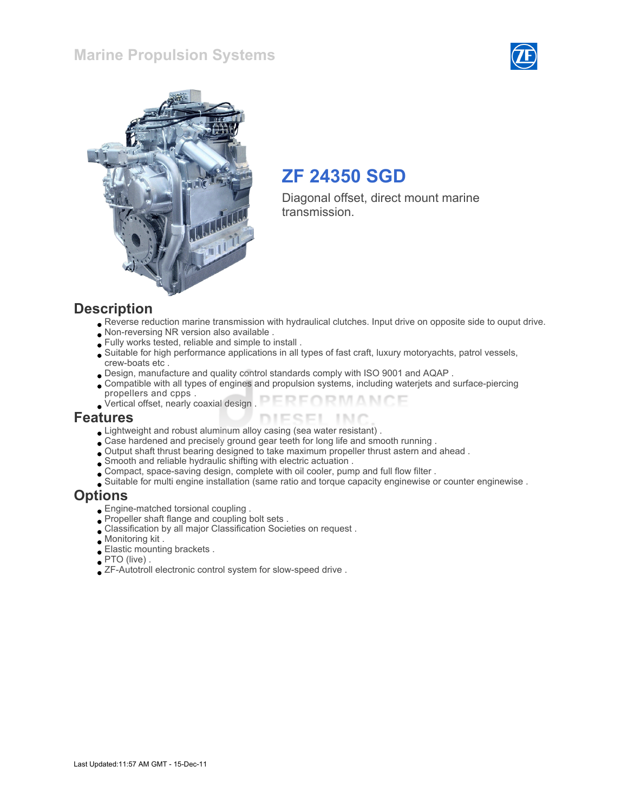### Marine Propulsion Systems





## ZF 24350 SGD

Diagonal offset, direct mount marine transmission.

#### **Description**

- Reverse reduction marine transmission with hydraulical clutches. Input drive on opposite side to ouput drive.
- Non-reversing NR version also available .
- Fully works tested, reliable and simple to install .
- Suitable for high performance applications in all types of fast craft, luxury motoryachts, patrol vessels, crew-boats etc .
- Design, manufacture and quality control standards comply with ISO 9001 and AQAP .
- Compatible with all types of engines and propulsion systems, including waterjets and surface-piercing propellers and cpps .
- FORMANCE Vertical offset, nearly coaxial design .

#### Features

- Lightweight and robust aluminum alloy casing (sea water resistant) .
- Case hardened and precisely ground gear teeth for long life and smooth running .
- Output shaft thrust bearing designed to take maximum propeller thrust astern and ahead .
- Smooth and reliable hydraulic shifting with electric actuation .
- Compact, space-saving design, complete with oil cooler, pump and full flow filter .
- Suitable for multi engine installation (same ratio and torque capacity enginewise or counter enginewise .

#### **Options**

- Engine-matched torsional coupling .
- Propeller shaft flange and coupling bolt sets .
- Classification by all major Classification Societies on request .
- Monitoring kit .
- Elastic mounting brackets .
- PTO (live) .
- ZF-Autotroll electronic control system for slow-speed drive .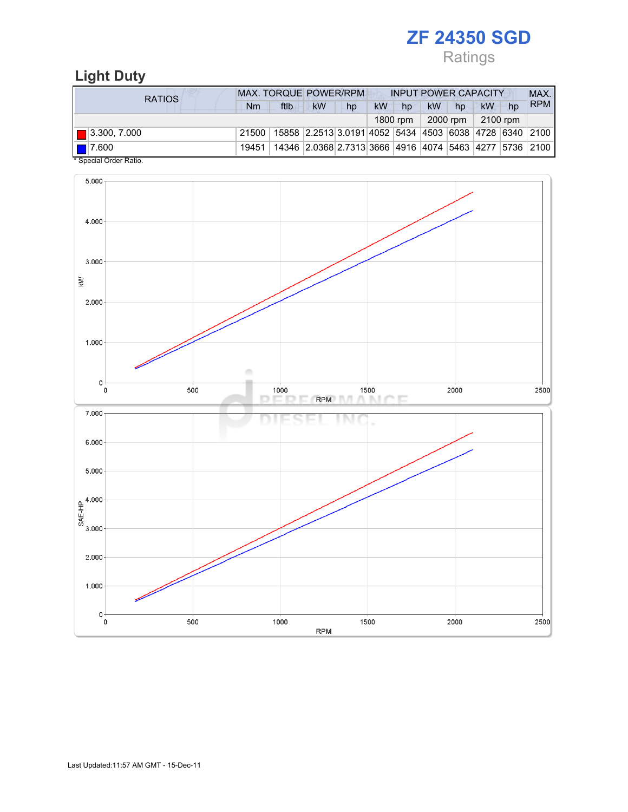Ratings

## Light Duty

| RATIOS                                       | <b>MAX. TORQUE POWER/RPM</b><br><b>INPUT POWER CAPACITY</b> |                                                                          |    |    |    |          |           |          |          |    |            |  |
|----------------------------------------------|-------------------------------------------------------------|--------------------------------------------------------------------------|----|----|----|----------|-----------|----------|----------|----|------------|--|
|                                              | Nm                                                          | ftlb                                                                     | kW | hp | kW | hp       | <b>kW</b> | hp       | kW       | hp | <b>RPM</b> |  |
|                                              |                                                             |                                                                          |    |    |    | 1800 rpm |           | 2000 rpm | 2100 rpm |    |            |  |
| $\blacksquare$ 3.300, 7.000                  | 21500                                                       | 15858   2.2513   3.0191   4052   5434   4503   6038   4728   6340   2100 |    |    |    |          |           |          |          |    |            |  |
| $\blacksquare$ 17.600<br>$*$ 0. 0. 0. . 1. . | 19451                                                       | 14346 2.0368 2.7313 3666 4916 4074 5463 4277 5736 2100                   |    |    |    |          |           |          |          |    |            |  |

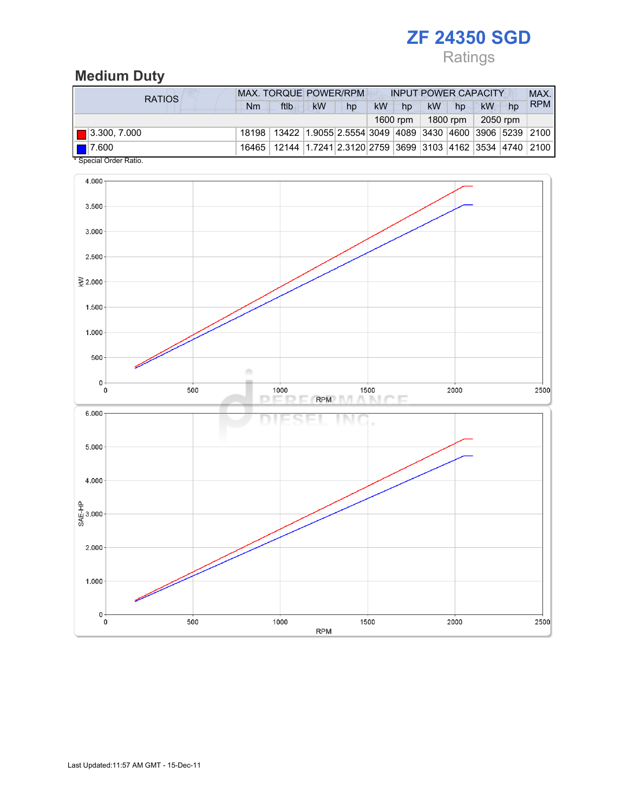## Ratings

## Medium Duty

| <b>RATIOS</b>                                                                                                                                                                                                                                                                                                                                                                                 | <b>MAX. TORQUE POWER/RPM</b><br><b>INPUT POWER CAPACITY</b> |                                                                                  |    |    |           |          |           |          |          |    | MAX.       |
|-----------------------------------------------------------------------------------------------------------------------------------------------------------------------------------------------------------------------------------------------------------------------------------------------------------------------------------------------------------------------------------------------|-------------------------------------------------------------|----------------------------------------------------------------------------------|----|----|-----------|----------|-----------|----------|----------|----|------------|
|                                                                                                                                                                                                                                                                                                                                                                                               | Nm                                                          | ftlb                                                                             | kW | hp | <b>kW</b> | hp       | <b>kW</b> | hp       | kW       | hp | <b>RPM</b> |
|                                                                                                                                                                                                                                                                                                                                                                                               |                                                             |                                                                                  |    |    |           | 1600 rpm |           | 1800 rpm | 2050 rpm |    |            |
| $\boxed{ }$ 3.300, 7.000                                                                                                                                                                                                                                                                                                                                                                      |                                                             | 18198   13422   1.9055 2.5554 3049   4089   3430   4600   3906   5239   2100     |    |    |           |          |           |          |          |    |            |
| $\blacksquare$ 7.600<br>$\bullet$ 0. $\bullet$ 1. 0. $\bullet$ 1. $\bullet$ 1. $\bullet$ 1. $\bullet$ 1. $\bullet$ 1. $\bullet$ 1. $\bullet$ 1. $\bullet$ 1. $\bullet$ 1. $\bullet$ 1. $\bullet$ 1. $\bullet$ 1. $\bullet$ 1. $\bullet$ 1. $\bullet$ 1. $\bullet$ 1. $\bullet$ 1. $\bullet$ 1. $\bullet$ 1. $\bullet$ 1. $\bullet$ 1. $\bullet$ 1. $\bullet$ 1. $\bullet$ 1. $\bullet$ 1. $\$ |                                                             | 16465   12144   1.7241   2.3120   2759   3699   3103   4162   3534   4740   2100 |    |    |           |          |           |          |          |    |            |

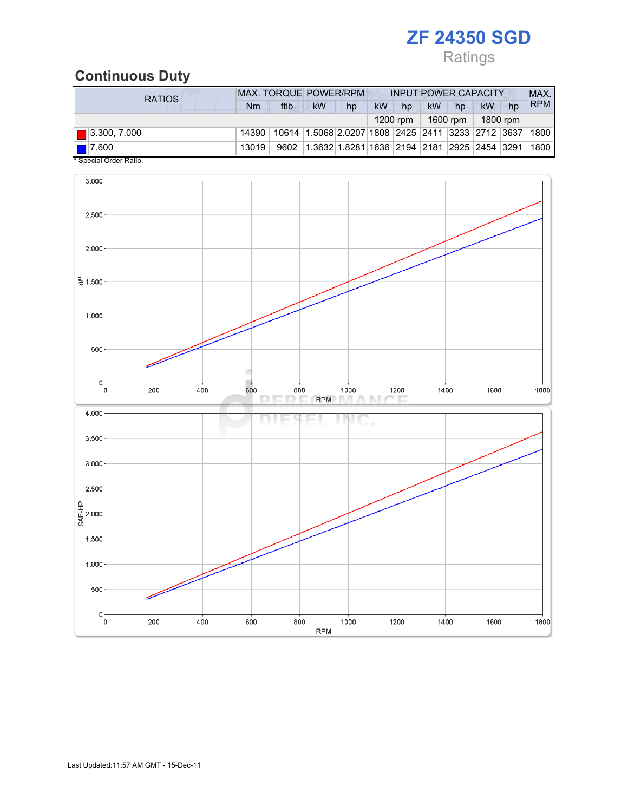## Ratings

### Continuous Duty

| <b>RATIOS</b>               |       | <b>MAX. TORQUE POWER/RPM</b> |                                                        |    | <b>INPUT POWER CAPACITY</b> |            |    |                      |          |    | MAX.       |  |
|-----------------------------|-------|------------------------------|--------------------------------------------------------|----|-----------------------------|------------|----|----------------------|----------|----|------------|--|
|                             | Nm    | ftlb                         | <b>kW</b>                                              | hp | <b>kW</b>                   | hp         | kW | hp                   | kW       | hp | <b>RPM</b> |  |
|                             |       |                              |                                                        |    |                             | $1200$ rpm |    | 1600 rpm $\parallel$ | 1800 rpm |    |            |  |
| $\blacksquare$ 3.300, 7.000 | 14390 |                              | 10614 1.5068 2.0207 1808 2425 2411 3233 2712 3637 1800 |    |                             |            |    |                      |          |    |            |  |
| $\blacksquare$ 7.600        | 13019 | 9602                         | $ 1.3632 1.8281 1636 2194 2181 2925 2454 3291 1800$    |    |                             |            |    |                      |          |    |            |  |
| * Special Order Ratio.      |       |                              |                                                        |    |                             |            |    |                      |          |    |            |  |

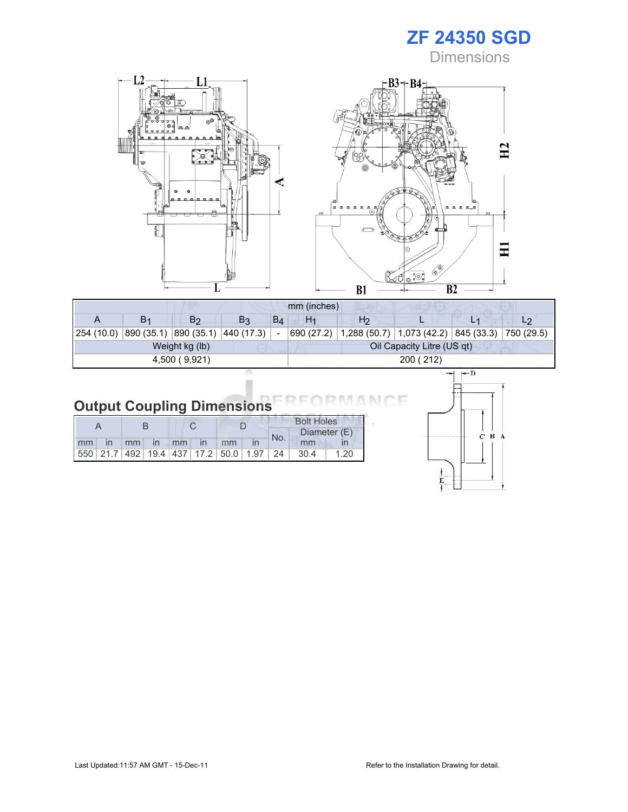**Dimensions** 

 $C$   $B$   $A$ 

١F N 6



| mm (inches)    |    |                                  |                |       |                |                                                                    |                            |  |  |  |
|----------------|----|----------------------------------|----------------|-------|----------------|--------------------------------------------------------------------|----------------------------|--|--|--|
|                | Β1 | B <sub>2</sub>                   | B <sub>3</sub> | $B_4$ | H <sub>1</sub> | H <sub>2</sub>                                                     |                            |  |  |  |
| 254 (10.0)     |    | 890 (35.1) 890 (35.1) 440 (17.3) |                |       |                | 690 (27.2)   1,288 (50.7)   1,073 (42.2)   845 (33.3)   750 (29.5) |                            |  |  |  |
| Weight kg (lb) |    |                                  |                |       |                |                                                                    | Oil Capacity Litre (US qt) |  |  |  |
| 4,500 (9,921)  |    |                                  |                |       | 200 (212)      |                                                                    |                            |  |  |  |
|                |    |                                  |                |       |                |                                                                    |                            |  |  |  |

## Output Coupling Dimensions

|    |                 |    |                   |               |                                                         | <b>Bolt Holes</b> |       |              |  |  |
|----|-----------------|----|-------------------|---------------|---------------------------------------------------------|-------------------|-------|--------------|--|--|
|    |                 |    |                   |               |                                                         | No.               |       | Diameter (E) |  |  |
| mm | mm <sub>1</sub> | In | $\blacksquare$ mm | $\mathsf{In}$ | mm                                                      |                   | mm    |              |  |  |
|    |                 |    |                   |               | 550   21.7   492   19.4   437   17.2   50.0   1.97   24 |                   | -30.4 | 1.20         |  |  |